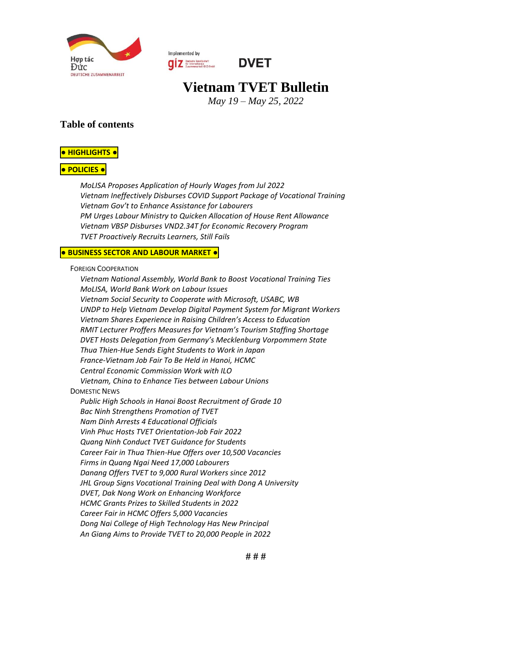

Implemented by **QIZ** Deutsche Gesetlschaft<br>
Zusammenarboit (GIZ) SmbH



# **Vietnam TVET Bulletin**

*May 19 – May 25, 2022*

#### **Table of contents**

#### **● [HIGHLIGHTS](#page-1-0) ●**

#### **● [POLICIES](#page-1-1) ●**

*[MoLISA Proposes Application of Hourly Wages from Jul 2022](#page-1-2) [Vietnam Ineffectively Disburses COVID Support Package of Vocational Training](#page-1-3) Vietnam Gov't to Enhanc[e Assistance for Labourers](#page-1-4) [PM Urges Labour Ministry to Quicken Allocation of House Rent Allowance](#page-1-5) [Vietnam VBSP Disburses VND2.34T for Economic Recovery Program](#page-2-0) [TVET Proactively Recruits Learners, Still Fails](#page-2-1)*

#### **● [BUSINESS](#page-2-2) SECTOR AND LABOUR MARKET ●**

FOREIGN C[OOPERATION](#page-2-3)

*[Vietnam National Assembly, World Bank to Boost Vocational Training Ties](#page-2-4) [MoLISA, World Bank Work on Labour Issues](#page-2-5) [Vietnam Social Security to Cooperate with Microsoft, USABC, WB](#page-3-0) UNDP to Help Vietnam Develop Digital Payment System for Migrant Workers [Vietnam Shares Experience in Raising Children's Access to Education](#page-3-1) [RMIT Lecturer Proffers Measures for Vietnam's Tourism Staffing Shortage](#page-3-2) [DVET Hosts Delegation from Germany's Mecklenburg Vorpommern State](#page-4-0) [Thua Thien-Hue Sends Eight Students to Work in Japan](#page-4-1) [France-Vietnam Job Fair To Be Held in Hanoi,](#page-4-2) HCMC [Central Economic Commission Work with ILO](#page-4-3) [Vietnam, China to Enhance Ties between Labour Unions](#page-4-4)* D[OMESTIC](#page-5-0) NEWS *[Public High Schools in Hanoi Boost Recruitment of Grade 10](#page-5-1) [Bac Ninh Strengthens Promotion of TVET](#page-5-2) [Nam Dinh Arrests 4 Educational Officials](#page-5-3) [Vinh Phuc Hosts TVET Orientation-Job Fair 2022](#page-5-4) [Quang Ninh Conduct TVET Guidance for Students](#page-5-5) [Career Fair in Thua Thien-Hue Offers over 10,500 Vacancies](#page-5-6) [Firms in Quang Ngai Need 17,000 Labourers](#page-5-7) [Danang Offers TVET to 9,000 Rural Workers since 2012](#page-6-0) [JHL Group Signs Vocational Training Deal with Dong A University](#page-6-1) [DVET, Dak Nong Work on Enhancing Workforce](#page-6-2) [HCMC Grants Prizes to Skilled Students in 2022](#page-6-3) [Career Fair in HCMC Offers 5,000 Vacancies](#page-6-4) [Dong Nai College of High Technology Has New Principal](#page-6-5) [An Giang Aims to Provide TVET to 20,000 People in 2022](#page-7-0)*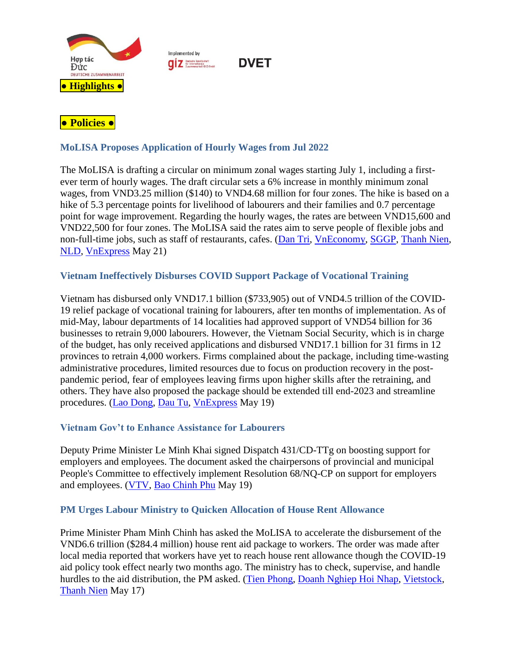

Implemented by **QIZ** Deutsche Gesellschaft



# <span id="page-1-1"></span><span id="page-1-0"></span>**● Policies ●**

# <span id="page-1-2"></span>**MoLISA Proposes Application of Hourly Wages from Jul 2022**

The MoLISA is drafting a circular on minimum zonal wages starting July 1, including a firstever term of hourly wages. The draft circular sets a 6% increase in monthly minimum zonal wages, from VND3.25 million (\$140) to VND4.68 million for four zones. The hike is based on a hike of 5.3 percentage points for livelihood of labourers and their families and 0.7 percentage point for wage improvement. Regarding the hourly wages, the rates are between VND15,600 and VND22,500 for four zones. The MoLISA said the rates aim to serve people of flexible jobs and non-full-time jobs, such as staff of restaurants, cafes. [\(Dan Tri,](https://dantri.com.vn/an-sinh/lan-dau-de-xuat-muc-luong-toi-thieu-theo-gio-tu-thoi-diem-tang-luong-17-20220521083007892.htm) [VnEconomy,](https://vneconomy.vn/lan-dau-tien-se-co-luong-toi-thieu-theo-gio.htm#related) [SGGP,](https://www.sggp.org.vn/luong-toi-thieu-theo-gio-co-the-ap-dung-tu-17-bao-ve-quyen-loi-nguoi-lao-dong-tu-do-mua-vu-815697.html#related) [Thanh Nien,](https://thanhnien.vn/sap-co-muc-luong-toi-thieu-tinh-theo-gio-post1461146.html#related) [NLD,](https://nld.com.vn/cong-doan/se-co-muc-luong-toi-thieu-gio-20220523090253311.htm#related) [VnExpress](https://vnexpress.net/de-xuat-muc-luong-toi-thieu-theo-gio-tu-ngay-1-7-4466157.html#related) May 21)

# <span id="page-1-3"></span>**Vietnam Ineffectively Disburses COVID Support Package of Vocational Training**

Vietnam has disbursed only VND17.1 billion (\$733,905) out of VND4.5 trillion of the COVID-19 relief package of vocational training for labourers, after ten months of implementation. As of mid-May, labour departments of 14 localities had approved support of VND54 billion for 36 businesses to retrain 9,000 labourers. However, the Vietnam Social Security, which is in charge of the budget, has only received applications and disbursed VND17.1 billion for 31 firms in 12 provinces to retrain 4,000 workers. Firms complained about the package, including time-wasting administrative procedures, limited resources due to focus on production recovery in the postpandemic period, fear of employees leaving firms upon higher skills after the retraining, and others. They have also proposed the package should be extended till end-2023 and streamline procedures. [\(Lao Dong,](https://laodongtre.laodong.vn/hoc-nghe/doanh-nghiep-yeu-cau-ho-tro-dao-tao-nghe-cho-lao-dong-con-thap-1046613.ldo) [Dau Tu,](https://baodautu.vn/ho-tro-dao-tao-nghe-theo-nghi-quyet-68-doanh-nghiep-nho-than-kho-tiep-can-d166140.html#related) [VnExpress](https://vnexpress.net/cham-giai-ngan-goi-ho-tro-dao-tao-lai-lao-dong-4465181.html#related) May 19)

# <span id="page-1-4"></span>**Vietnam Gov't to Enhance Assistance for Labourers**

Deputy Prime Minister Le Minh Khai signed Dispatch 431/CD-TTg on boosting support for employers and employees. The document asked the chairpersons of provincial and municipal People's Committee to effectively implement Resolution 68/NQ-CP on support for employers and employees. [\(VTV,](https://vtv.vn/xa-hoi/thu-tuong-chi-dao-tang-cuong-cac-bien-phap-ho-tro-nguoi-lao-dong-dam-bao-an-sinh-xa-hoi-2022051912073907.htm#related) [Bao Chinh Phu](https://baochinhphu.vn/tang-cuong-cac-bien-phap-ho-tro-nguoi-lao-dong-102220519105641772.htm#related) May 19)

# <span id="page-1-5"></span>**PM Urges Labour Ministry to Quicken Allocation of House Rent Allowance**

Prime Minister Pham Minh Chinh has asked the MoLISA to accelerate the disbursement of the VND6.6 trillion (\$284.4 million) house rent aid package to workers. The order was made after local media reported that workers have yet to reach house rent allowance though the COVID-19 aid policy took effect nearly two months ago. The ministry has to check, supervise, and handle hurdles to the aid distribution, the PM asked. [\(Tien Phong,](https://tienphong.vn/thu-tuong-thuc-tien-do-chi-ho-tro-tien-thue-nha-tro-cho-cong-nhan-post1438883.tpo) [Doanh Nghiep Hoi Nhap,](https://doanhnghiephoinhap.vn/thu-tuong-chi-dao-nhanh-chong-chi-ho-tro-tien-thue-nha-tro-cho-cong-nhan.html#related) [Vietstock,](https://vietstock.vn/2022/05/chinh-phu-yeu-cau-hoan-thanh-goi-ho-tro-tien-thue-nha-cho-nguoi-lao-dong-trong-thang-82022-4265-966184.htm#related) [Thanh Nien](https://thanhnien.vn/i-ach-giai-ngan-goi-ho-tro-tien-thue-tro-cho-cong-nhan-post1460073.html#related) May 17)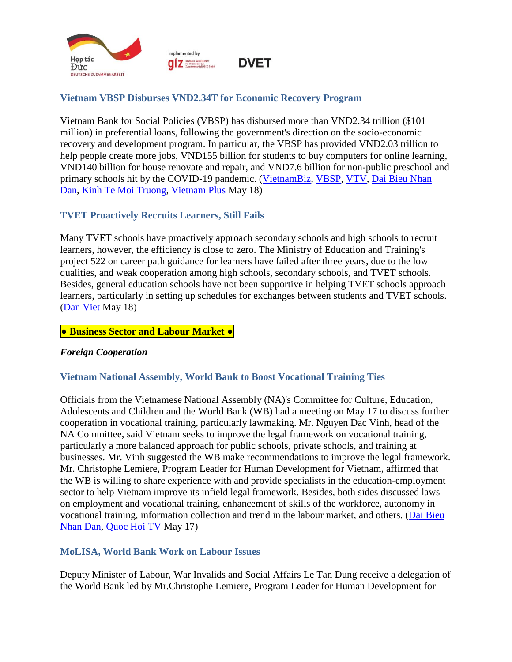

# <span id="page-2-0"></span>**Vietnam VBSP Disburses VND2.34T for Economic Recovery Program**

Vietnam Bank for Social Policies (VBSP) has disbursed more than VND2.34 trillion (\$101 million) in preferential loans, following the government's direction on the socio-economic recovery and development program. In particular, the VBSP has provided VND2.03 trillion to help people create more jobs, VND155 billion for students to buy computers for online learning, VND140 billion for house renovate and repair, and VND7.6 billion for non-public preschool and primary schools hit by the COVID-19 pandemic. [\(VietnamBiz,](https://vietnambiz.vn/hon-2335-ty-dong-von-uu-dai-phuc-hoi-kinh-te-da-den-tay-nguoi-dan-2022518214356529.htm) [VBSP,](https://vbsp.org.vn/day-manh-viec-thuc-hien-cac-chinh-sach-tin-dung-theo-nghi-quyet-so-11nq-cp-cua-chinh-phu.html#related) [VTV,](https://vtv.vn/kinh-te/hon-2300-ty-dong-von-vay-uu-dai-da-den-tay-nguoi-dan-20220518145711986.htm#related) [Dai Bieu Nhan](https://daibieunhandan.vn/doi-song-xa-hoi/hon-2-335-ty-dong-von-uu-dai-phuc-hoi-kinh-te-da-den-tay-nguoi-dan-i289090/#related)  [Dan,](https://daibieunhandan.vn/doi-song-xa-hoi/hon-2-335-ty-dong-von-uu-dai-phuc-hoi-kinh-te-da-den-tay-nguoi-dan-i289090/#related) [Kinh Te Moi Truong,](https://kinhtemoitruong.vn/hon-2300-ty-dong-von-uu-dai-phuc-hoi-kinh-te-da-den-tay-nguoi-dan-67208.html#related) [Vietnam Plus](https://www.vietnamplus.vn/hon-2335-ty-dong-von-uu-dai-phuc-hoi-kinh-te-da-den-tay-nguoi-dan/790989.vnp#related) May 18)

# <span id="page-2-1"></span>**TVET Proactively Recruits Learners, Still Fails**

Many TVET schools have proactively approach secondary schools and high schools to recruit learners, however, the efficiency is close to zero. The Ministry of Education and Training's project 522 on career path guidance for learners have failed after three years, due to the low qualities, and weak cooperation among high schools, secondary schools, and TVET schools. Besides, general education schools have not been supportive in helping TVET schools approach learners, particularly in setting up schedules for exchanges between students and TVET schools. [\(Dan Viet](https://danviet.vn/tuyen-sinh-gdnn-gap-kho-vi-phan-luong-huong-nghiep-chua-hieu-qua-20220517212417269.htm) May 18)

#### <span id="page-2-2"></span>**● Business Sector and Labour Market ●**

#### <span id="page-2-3"></span>*Foreign Cooperation*

# <span id="page-2-4"></span>**Vietnam National Assembly, World Bank to Boost Vocational Training Ties**

Officials from the Vietnamese National Assembly (NA)'s Committee for Culture, Education, Adolescents and Children and the World Bank (WB) had a meeting on May 17 to discuss further cooperation in vocational training, particularly lawmaking. Mr. Nguyen Dac Vinh, head of the NA Committee, said Vietnam seeks to improve the legal framework on vocational training, particularly a more balanced approach for public schools, private schools, and training at businesses. Mr. Vinh suggested the WB make recommendations to improve the legal framework. Mr. Christophe Lemiere, Program Leader for Human Development for Vietnam, affirmed that the WB is willing to share experience with and provide specialists in the education-employment sector to help Vietnam improve its infield legal framework. Besides, both sides discussed laws on employment and vocational training, enhancement of skills of the workforce, autonomy in vocational training, information collection and trend in the labour market, and others. [\(Dai Bieu](https://daibieunhandan.vn/Thoi-su-Quoc-hoi/Chu-nhiem-uy-ban-Van-hoa-Giao-duc-lam-viec-voi-doan-cong-tac-Ngan-hang-The-gioi-i289026/)  [Nhan Dan,](https://daibieunhandan.vn/Thoi-su-Quoc-hoi/Chu-nhiem-uy-ban-Van-hoa-Giao-duc-lam-viec-voi-doan-cong-tac-Ngan-hang-The-gioi-i289026/) [Quoc Hoi TV](https://www.quochoitv.vn/viet-nam-ngan-hang-the-gioi-tang-cuong-hop-tac-linh-vuc-giao-duc-nghe-nghiep#related) May 17)

# <span id="page-2-5"></span>**MoLISA, World Bank Work on Labour Issues**

Deputy Minister of Labour, War Invalids and Social Affairs Le Tan Dung receive a delegation of the World Bank led by Mr.Christophe Lemiere, Program Leader for Human Development for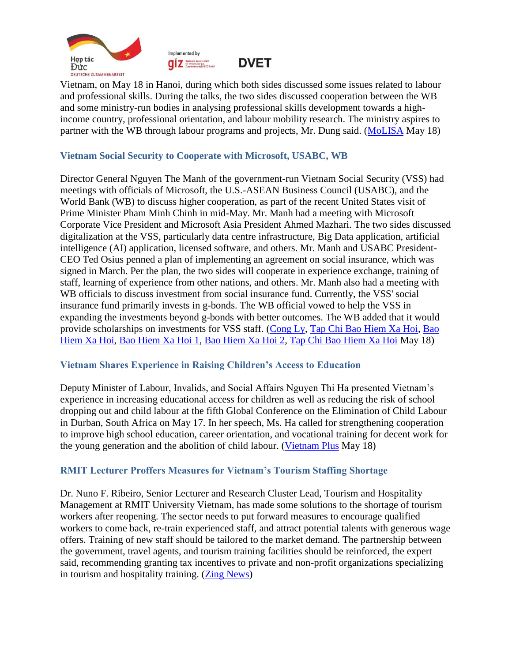



Vietnam, on May 18 in Hanoi, during which both sides discussed some issues related to labour and professional skills. During the talks, the two sides discussed cooperation between the WB and some ministry-run bodies in analysing professional skills development towards a highincome country, professional orientation, and labour mobility research. The ministry aspires to partner with the WB through labour programs and projects, Mr. Dung said. [\(MoLISA](http://www.molisa.gov.vn/Pages/tintuc/chitiet.aspx?tintucID=231384) May 18)

#### <span id="page-3-0"></span>**Vietnam Social Security to Cooperate with Microsoft, USABC, WB**

Director General Nguyen The Manh of the government-run Vietnam Social Security (VSS) had meetings with officials of Microsoft, the U.S.-ASEAN Business Council (USABC), and the World Bank (WB) to discuss higher cooperation, as part of the recent United States visit of Prime Minister Pham Minh Chinh in mid-May. Mr. Manh had a meeting with Microsoft Corporate Vice President and Microsoft Asia President Ahmed Mazhari. The two sides discussed digitalization at the VSS, particularly data centre infrastructure, Big Data application, artificial intelligence (AI) application, licensed software, and others. Mr. Manh and USABC President-CEO Ted Osius penned a plan of implementing an agreement on social insurance, which was signed in March. Per the plan, the two sides will cooperate in experience exchange, training of staff, learning of experience from other nations, and others. Mr. Manh also had a meeting with WB officials to discuss investment from social insurance fund. Currently, the VSS' social insurance fund primarily invests in g-bonds. The WB official vowed to help the VSS in expanding the investments beyond g-bonds with better outcomes. The WB added that it would provide scholarships on investments for VSS staff. [\(Cong Ly,](https://congly.vn/bhxh-viet-nam-ky-ket-hop-tac-voi-hoi-dong-kinh-doanh-hoa-ky-asean-207719.html) [Tap Chi Bao Hiem Xa Hoi,](http://ansinhxahoionline.tapchibaohiemxahoi.gov.vn/longform/mo-ra-co-hoi-hop-tac-moi-giua-viet-nam-va-hoa-ky-trong-linh-vuc-bhxh-bhyt-91622.html#related) [Bao](https://baohiemxahoi.gov.vn/tintuc/Pages/hoat-dong-he-thong-bao-hiem-xa-hoi.aspx?ItemID=18564&CateID=0#related)  [Hiem Xa Hoi,](https://baohiemxahoi.gov.vn/tintuc/Pages/hoat-dong-he-thong-bao-hiem-xa-hoi.aspx?ItemID=18564&CateID=0#related) [Bao Hiem Xa Hoi 1,](https://baohiemxahoi.gov.vn/tintuc/Pages/hoat-dong-he-thong-bao-hiem-xa-hoi.aspx?ItemID=18544&CateID=52#related) [Bao Hiem Xa Hoi 2,](https://baohiemxahoi.gov.vn/tintuc/Pages/hoat-dong-he-thong-bao-hiem-xa-hoi.aspx?ItemID=18560&CateID=0#related) [Tap Chi Bao Hiem Xa Hoi](http://tapchibaohiemxahoi.gov.vn/tong-giam-doc-nguyen-the-manh-lam-viec-voi-ngan-hang-the-gioi-91601.html#related) May 18)

#### <span id="page-3-1"></span>**Vietnam Shares Experience in Raising Children's Access to Education**

Deputy Minister of Labour, Invalids, and Social Affairs Nguyen Thi Ha presented Vietnam's experience in increasing educational access for children as well as reducing the risk of school dropping out and child labour at the fifth Global Conference on the Elimination of Child Labour in Durban, South Africa on May 17. In her speech, Ms. Ha called for strengthening cooperation to improve high school education, career orientation, and vocational training for decent work for the young generation and the abolition of child labour. [\(Vietnam Plus](https://www.vietnamplus.vn/viet-nam-chia-se-kinh-nghiem-tang-kha-nang-tiep-can-giao-duc-cho-tre/790948.vnp) May 18)

#### <span id="page-3-2"></span>**RMIT Lecturer Proffers Measures for Vietnam's Tourism Staffing Shortage**

Dr. Nuno F. Ribeiro, Senior Lecturer and Research Cluster Lead, Tourism and Hospitality Management at RMIT University Vietnam, has made some solutions to the shortage of tourism workers after reopening. The sector needs to put forward measures to encourage qualified workers to come back, re-train experienced staff, and attract potential talents with generous wage offers. Training of new staff should be tailored to the market demand. The partnership between the government, travel agents, and tourism training facilities should be reinforced, the expert said, recommending granting tax incentives to private and non-profit organizations specializing in tourism and hospitality training. [\(Zing News\)](https://zingnews.vn/tang-luong-de-nhan-su-nganh-du-lich-quay-tro-lai-post1317935.html)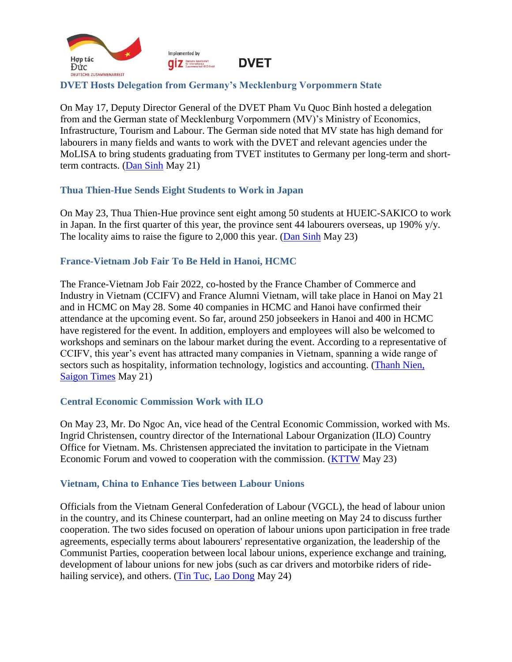

# <span id="page-4-0"></span>**DVET Hosts Delegation from Germany's Mecklenburg Vorpommern State**

On May 17, Deputy Director General of the DVET Pham Vu Quoc Binh hosted a delegation from and the German state of Mecklenburg Vorpommern (MV)'s Ministry of Economics, Infrastructure, Tourism and Labour. The German side noted that MV state has high demand for labourers in many fields and wants to work with the DVET and relevant agencies under the MoLISA to bring students graduating from TVET institutes to Germany per long-term and shortterm contracts. [\(Dan Sinh](https://baodansinh.vn/tong-cuc-giao-duc-nghe-nghiep-lam-viec-voi-doan-cong-tac-cua-bo-kinh-te-ha-tang-du-lich-va-lao-dong-bang-mecklenburg-vorpommern-chlb-duc-20220520160817.htm) May 21)

# <span id="page-4-1"></span>**Thua Thien-Hue Sends Eight Students to Work in Japan**

On May 23, Thua Thien-Hue province sent eight among 50 students at HUEIC-SAKICO to work in Japan. In the first quarter of this year, the province sent 44 labourers overseas, up 190% y/y. The locality aims to raise the figure to 2,000 this year. [\(Dan Sinh](https://baodansinh.vn/tin-hieu-tich-cuc-trong-cong-tac-xuat-khau-lao-dong-tai-thua-thien-hue-20220523190539.htm) May 23)

#### <span id="page-4-2"></span>**France-Vietnam Job Fair To Be Held in Hanoi, HCMC**

The France-Vietnam Job Fair 2022, co-hosted by the France Chamber of Commerce and Industry in Vietnam (CCIFV) and France Alumni Vietnam, will take place in Hanoi on May 21 and in HCMC on May 28. Some 40 companies in HCMC and Hanoi have confirmed their attendance at the upcoming event. So far, around 250 jobseekers in Hanoi and 400 in HCMC have registered for the event. In addition, employers and employees will also be welcomed to workshops and seminars on the labour market during the event. According to a representative of CCIFV, this year's event has attracted many companies in Vietnam, spanning a wide range of sectors such as hospitality, information technology, logistics and accounting. [\(Thanh Nien,](https://thanhnien.vn/hang-tram-co-hoi-nghe-nghiep-tai-ngay-hoi-viec-lam-phap-viet-2022-post1460896.html) [Saigon Times](https://english.thesaigontimes.vn/france-vietnam-job-fair-to-be-held-in-hanoi-and-hcmc/) May 21)

# <span id="page-4-3"></span>**Central Economic Commission Work with ILO**

On May 23, Mr. Do Ngoc An, vice head of the Central Economic Commission, worked with Ms. Ingrid Christensen, country director of the International Labour Organization (ILO) Country Office for Vietnam. Ms. Christensen appreciated the invitation to participate in the Vietnam Economic Forum and vowed to cooperation with the commission. [\(KTTW](http://kinhtetrunguong.vn/thoi-su/hoat-dong-cua-ban/dong-chi-do-ngoc-an-pho-truong-ban-kinh-te-trung-uong-tiep-va-lam-viec-voi-doan-cong-tac-cua-to-chuc-lao-dong-quoc-te-il.html) May 23)

#### <span id="page-4-4"></span>**Vietnam, China to Enhance Ties between Labour Unions**

Officials from the Vietnam General Confederation of Labour (VGCL), the head of labour union in the country, and its Chinese counterpart, had an online meeting on May 24 to discuss further cooperation. The two sides focused on operation of labour unions upon participation in free trade agreements, especially terms about labourers' representative organization, the leadership of the Communist Parties, cooperation between local labour unions, experience exchange and training, development of labour unions for new jobs (such as car drivers and motorbike riders of ride-hailing service), and others. [\(Tin Tuc,](https://baotintuc.vn/thoi-su/viet-nam-trung-quoc-tang-cuong-trao-doi-kinh-nghiem-tronghoat-dongcongdoan-20220524151215713.htm) [Lao Dong](https://laodong.vn/cong-doan/tong-ldld-viet-nam-hoi-dam-truc-tuyen-voi-tong-cong-hoi-trung-quoc-1048510.ldo#related) May 24)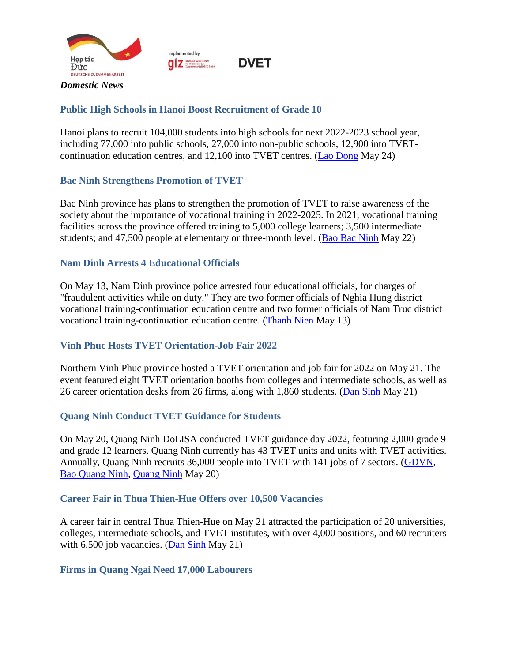

Implemented by **O Z** Deutsche Gesellschaft<br>
Zusammenarboit (GIZ) SmbH



# <span id="page-5-1"></span><span id="page-5-0"></span>**Public High Schools in Hanoi Boost Recruitment of Grade 10**

Hanoi plans to recruit 104,000 students into high schools for next 2022-2023 school year, including 77,000 into public schools, 27,000 into non-public schools, 12,900 into TVETcontinuation education centres, and 12,100 into TVET centres. [\(Lao Dong](https://laodong.vn/tuyen-sinh/hang-loat-truong-thpt-cong-lap-o-ha-noi-tang-chi-tieu-tuyen-sinh-lop-10-1048396.ldo) May 24)

# <span id="page-5-2"></span>**Bac Ninh Strengthens Promotion of TVET**

Bac Ninh province has plans to strengthen the promotion of TVET to raise awareness of the society about the importance of vocational training in 2022-2025. In 2021, vocational training facilities across the province offered training to 5,000 college learners; 3,500 intermediate students; and 47,500 people at elementary or three-month level. [\(Bao Bac Ninh](http://baobacninh.com.vn/web/bbn/chi-tiet-giao-duc-va-dao-tao/-/details/20182/tang-cuong-truyen-thong-ve-giao-duc-nghe-nghiep) May 22)

#### <span id="page-5-3"></span>**Nam Dinh Arrests 4 Educational Officials**

On May 13, Nam Dinh province police arrested four educational officials, for charges of "fraudulent activities while on duty." They are two former officials of Nghia Hung district vocational training-continuation education centre and two former officials of Nam Truc district vocational training-continuation education centre. [\(Thanh Nien](https://thanhnien.vn/khoi-to-bat-tam-giam-4-nguyen-can-bo-nganh-giao-duc-tinh-nam-dinh-post1458191.html) May 13)

# <span id="page-5-4"></span>**Vinh Phuc Hosts TVET Orientation-Job Fair 2022**

Northern Vinh Phuc province hosted a TVET orientation and job fair for 2022 on May 21. The event featured eight TVET orientation booths from colleges and intermediate schools, as well as 26 career orientation desks from 26 firms, along with 1,860 students. [\(Dan Sinh](https://baodansinh.vn/ngay-hoi-tu-van-tuyen-sinh-giao-duc-nghe-nghiep-va-phien-giao-dich-viec-lam-nam-2022-tinh-vinh-phuc-20220521134512.htm) May 21)

#### <span id="page-5-5"></span>**Quang Ninh Conduct TVET Guidance for Students**

On May 20, Quang Ninh DoLISA conducted TVET guidance day 2022, featuring 2,000 grade 9 and grade 12 learners. Quang Ninh currently has 43 TVET units and units with TVET activities. Annually, Quang Ninh recruits 36,000 people into TVET with 141 jobs of 7 sectors. [\(GDVN,](https://giaoduc.net.vn/giao-duc-24h/quang-ninh-to-chuc-tu-van-tuyen-sinh-giao-duc-nghe-nghiep-nam-2022-post226593.gd) [Bao Quang Ninh,](https://baoquangninh.com.vn/ngay-hoi-tu-van-tuyen-sinh-giao-duc-nghe-nghiep-nam-2022-tai-tp-cam-pha-3187946.html) [Quang Ninh](https://www.quangninh.gov.vn/So/solaodongthuongbinhxahoi/Trang/ChiTietTinTuc.aspx?nid=4389) May 20)

#### <span id="page-5-6"></span>**Career Fair in Thua Thien-Hue Offers over 10,500 Vacancies**

A career fair in central Thua Thien-Hue on May 21 attracted the participation of 20 universities, colleges, intermediate schools, and TVET institutes, with over 4,000 positions, and 60 recruiters with 6,500 job vacancies. [\(Dan Sinh](https://baodansinh.vn/hon-10500-chi-tieu-tuyen-sinh-vi-tri-viec-lam-can-tuyen-dung-20220521120223.htm) May 21)

# <span id="page-5-7"></span>**Firms in Quang Ngai Need 17,000 Labourers**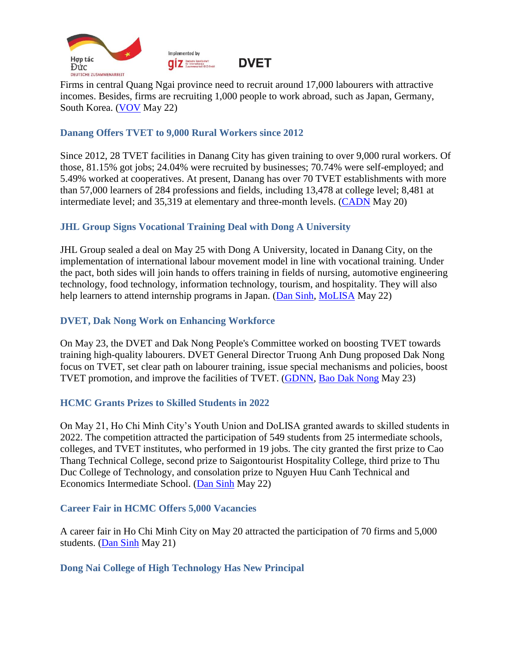



**DVET** 

Firms in central Quang Ngai province need to recruit around 17,000 labourers with attractive incomes. Besides, firms are recruiting 1,000 people to work abroad, such as Japan, Germany, South Korea. [\(VOV](https://vov.vn/kinh-te/doanh-nghiep-o-quang-ngai-can-tuyen-dung-hon-17000-lao-dong-post945504.vov) May 22)

# <span id="page-6-0"></span>**Danang Offers TVET to 9,000 Rural Workers since 2012**

Since 2012, 28 TVET facilities in Danang City has given training to over 9,000 rural workers. Of those, 81.15% got jobs; 24.04% were recruited by businesses; 70.74% were self-employed; and 5.49% worked at cooperatives. At present, Danang has over 70 TVET establishments with more than 57,000 learners of 284 professions and fields, including 13,478 at college level; 8,481 at intermediate level; and 35,319 at elementary and three-month levels. [\(CADN](https://cadn.com.vn/so-lao-dong-nong-thon-co-viec-lam-sau-hoc-nghe-tai-da-nang-dat-8115-post261223.html) May 20)

# <span id="page-6-1"></span>**JHL Group Signs Vocational Training Deal with Dong A University**

JHL Group sealed a deal on May 25 with Dong A University, located in Danang City, on the implementation of international labour movement model in line with vocational training. Under the pact, both sides will join hands to offers training in fields of nursing, automotive engineering technology, food technology, information technology, tourism, and hospitality. They will also help learners to attend internship programs in Japan. [\(Dan Sinh,](https://baodansinh.vn/phoi-hop-dao-tao-ky-nang-nghe-chat-luong-cao-cho-thuc-tap-sinh-20220522164105.htm) [MoLISA](http://www.molisa.gov.vn/Pages/tintuc/chitiet.aspx?tintucID=231391) May 22)

# <span id="page-6-2"></span>**DVET, Dak Nong Work on Enhancing Workforce**

On May 23, the DVET and Dak Nong People's Committee worked on boosting TVET towards training high-quality labourers. DVET General Director Truong Anh Dung proposed Dak Nong focus on TVET, set clear path on labourer training, issue special mechanisms and policies, boost TVET promotion, and improve the facilities of TVET. [\(GDNN,](http://gdnn.gov.vn/AIAdmin/News/View/tabid/66/newsid/39243/seo/Dak-Nong-can-day-manh-dao-tao-nghe-nghiep-va-thu-hut-nguon-nhan-luc-chat-luong-cao/Default.aspx) [Bao Dak Nong](https://baodaknong.org.vn/thoi-su-trong-tinh/day-manh-dao-tao-nghe-nghiep-va-thu-hut-nguon-nhan-luc-chat-luong-cao-93152.html) May 23)

# <span id="page-6-3"></span>**HCMC Grants Prizes to Skilled Students in 2022**

On May 21, Ho Chi Minh City's Youth Union and DoLISA granted awards to skilled students in 2022. The competition attracted the participation of 549 students from 25 intermediate schools, colleges, and TVET institutes, who performed in 19 jobs. The city granted the first prize to Cao Thang Technical College, second prize to Saigontourist Hospitality College, third prize to Thu Duc College of Technology, and consolation prize to Nguyen Huu Canh Technical and Economics Intermediate School. [\(Dan Sinh](https://baodansinh.vn/tphcm-trao-giai-hoi-thi-hoc-sinh-sinh-vien-gioi-nghe-20220522085024.htm) May 22)

# <span id="page-6-4"></span>**Career Fair in HCMC Offers 5,000 Vacancies**

A career fair in Ho Chi Minh City on May 20 attracted the participation of 70 firms and 5,000 students. [\(Dan Sinh](https://baodansinh.vn/hon-5000-vi-tri-viec-lam-danh-cho-sinh-vien-20220520203304.htm) May 21)

# <span id="page-6-5"></span>**Dong Nai College of High Technology Has New Principal**